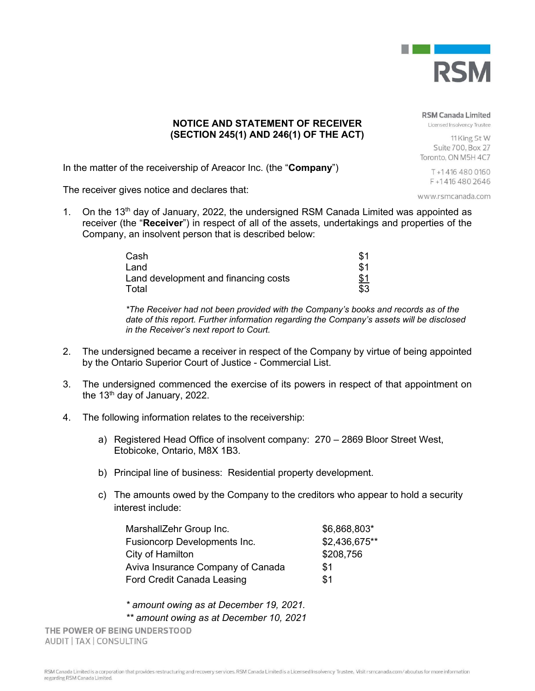

## **NOTICE AND STATEMENT OF RECEIVER (SECTION 245(1) AND 246(1) OF THE ACT)**

**RSM Canada Limited** 

Licensed Insolvency Trustee

11 King St W Suite 700, Box 27 Toronto, ON M5H 4C7

> T+14164800160 F+14164802646

www.rsmcanada.com

In the matter of the receivership of Areacor Inc. (the "**Company**")

The receiver gives notice and declares that:

1. On the 13<sup>th</sup> day of January, 2022, the undersigned RSM Canada Limited was appointed as receiver (the "**Receiver**") in respect of all of the assets, undertakings and properties of the Company, an insolvent person that is described below:

| Cash                                 | \$1        |
|--------------------------------------|------------|
| Land                                 | \$1        |
| Land development and financing costs | <u>\$1</u> |
| Total                                | \$3        |

*\*The Receiver had not been provided with the Company's books and records as of the date of this report. Further information regarding the Company's assets will be disclosed in the Receiver's next report to Court.*

- 2. The undersigned became a receiver in respect of the Company by virtue of being appointed by the Ontario Superior Court of Justice - Commercial List.
- 3. The undersigned commenced the exercise of its powers in respect of that appointment on the 13<sup>th</sup> day of January, 2022.
- 4. The following information relates to the receivership:
	- a) Registered Head Office of insolvent company: 270 2869 Bloor Street West, Etobicoke, Ontario, M8X 1B3.
	- b) Principal line of business: Residential property development.
	- c) The amounts owed by the Company to the creditors who appear to hold a security interest include:

| MarshallZehr Group Inc.             | \$6,868,803*  |
|-------------------------------------|---------------|
| <b>Fusioncorp Developments Inc.</b> | \$2,436,675** |
| City of Hamilton                    | \$208,756     |
| Aviva Insurance Company of Canada   | \$1           |
| <b>Ford Credit Canada Leasing</b>   | \$1           |

*\* amount owing as at December 19, 2021. \*\* amount owing as at December 10, 2021*

THE POWER OF BEING UNDERSTOOD AUDIT | TAX | CONSULTING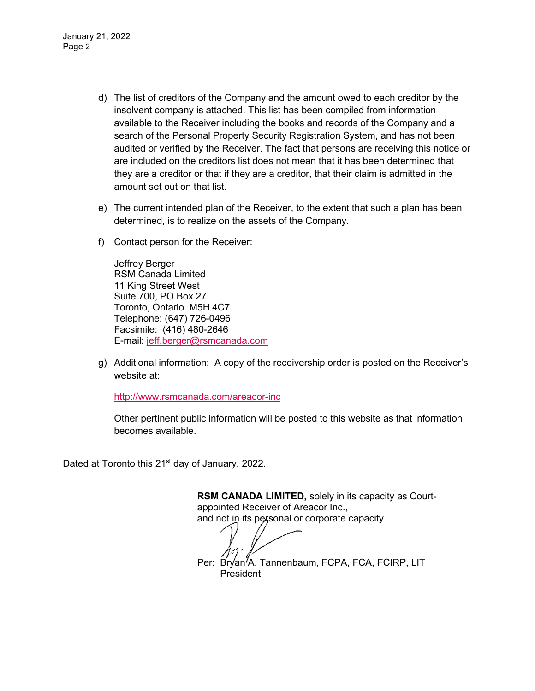January 21, 2022 Page 2

- d) The list of creditors of the Company and the amount owed to each creditor by the insolvent company is attached. This list has been compiled from information available to the Receiver including the books and records of the Company and a search of the Personal Property Security Registration System, and has not been audited or verified by the Receiver. The fact that persons are receiving this notice or are included on the creditors list does not mean that it has been determined that they are a creditor or that if they are a creditor, that their claim is admitted in the amount set out on that list.
- e) The current intended plan of the Receiver, to the extent that such a plan has been determined, is to realize on the assets of the Company.
- f) Contact person for the Receiver:

Jeffrey Berger RSM Canada Limited 11 King Street West Suite 700, PO Box 27 Toronto, Ontario M5H 4C7 Telephone: (647) 726-0496 Facsimile: (416) 480-2646 E-mail: jeff.berger@rsmcanada.com

g) Additional information: A copy of the receivership order is posted on the Receiver's website at:

http://www.rsmcanada.com/areacor-inc

Other pertinent public information will be posted to this website as that information becomes available.

Dated at Toronto this 21<sup>st</sup> day of January, 2022.

**RSM CANADA LIMITED,** solely in its capacity as Courtappointed Receiver of Areacor Inc., and not in its personal or corporate capacity Per: Bryan<sup>7</sup>A. Tannenbaum, FCPA, FCA, FCIRP, LIT President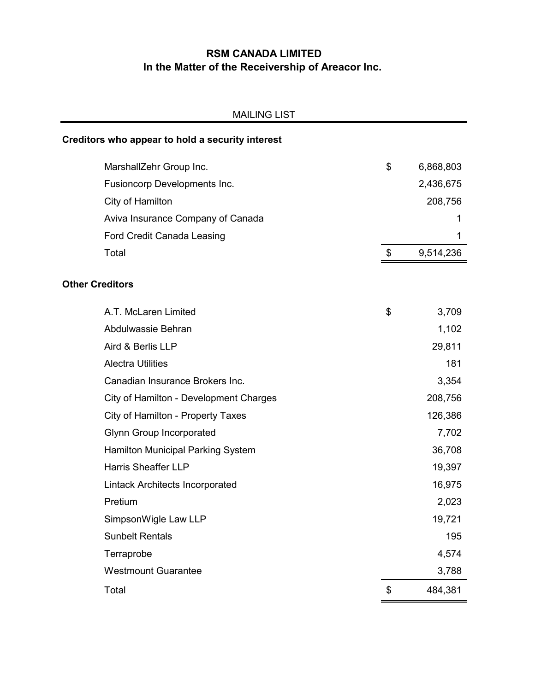# **RSM CANADA LIMITED In the Matter of the Receivership of Areacor Inc.**

| <b>MAILING LIST</b>                              |                 |
|--------------------------------------------------|-----------------|
| Creditors who appear to hold a security interest |                 |
| MarshallZehr Group Inc.                          | \$<br>6,868,803 |
| Fusioncorp Developments Inc.                     | 2,436,675       |
| City of Hamilton                                 | 208,756         |
| Aviva Insurance Company of Canada                | 1               |
| <b>Ford Credit Canada Leasing</b>                | 1               |
| Total                                            | \$<br>9,514,236 |
| <b>Other Creditors</b>                           |                 |
| A.T. McLaren Limited                             | \$<br>3,709     |
| Abdulwassie Behran                               | 1,102           |
| Aird & Berlis LLP                                | 29,811          |
| <b>Alectra Utilities</b>                         | 181             |
| Canadian Insurance Brokers Inc.                  | 3,354           |
| City of Hamilton - Development Charges           | 208,756         |
| City of Hamilton - Property Taxes                | 126,386         |
| <b>Glynn Group Incorporated</b>                  | 7,702           |
| Hamilton Municipal Parking System                | 36,708          |
| <b>Harris Sheaffer LLP</b>                       | 19,397          |
| Lintack Architects Incorporated                  | 16,975          |
| Pretium                                          | 2,023           |
| SimpsonWigle Law LLP                             | 19,721          |
| <b>Sunbelt Rentals</b>                           | 195             |
| Terraprobe                                       | 4,574           |
| <b>Westmount Guarantee</b>                       | 3,788           |
| Total                                            | \$<br>484,381   |